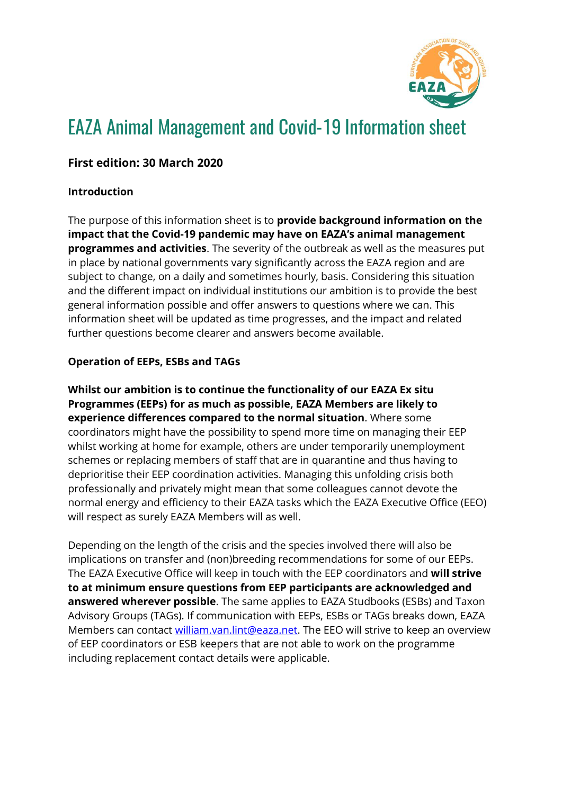

# EAZA Animal Management and Covid-19 Information sheet

## **First edition: 30 March 2020**

#### **Introduction**

The purpose of this information sheet is to **provide background information on the impact that the Covid-19 pandemic may have on EAZA's animal management programmes and activities**. The severity of the outbreak as well as the measures put in place by national governments vary significantly across the EAZA region and are subject to change, on a daily and sometimes hourly, basis. Considering this situation and the different impact on individual institutions our ambition is to provide the best general information possible and offer answers to questions where we can. This information sheet will be updated as time progresses, and the impact and related further questions become clearer and answers become available.

#### **Operation of EEPs, ESBs and TAGs**

**Whilst our ambition is to continue the functionality of our EAZA Ex situ Programmes (EEPs) for as much as possible, EAZA Members are likely to experience differences compared to the normal situation**. Where some coordinators might have the possibility to spend more time on managing their EEP whilst working at home for example, others are under temporarily unemployment schemes or replacing members of staff that are in quarantine and thus having to deprioritise their EEP coordination activities. Managing this unfolding crisis both professionally and privately might mean that some colleagues cannot devote the normal energy and efficiency to their EAZA tasks which the EAZA Executive Office (EEO) will respect as surely EAZA Members will as well.

Depending on the length of the crisis and the species involved there will also be implications on transfer and (non)breeding recommendations for some of our EEPs. The EAZA Executive Office will keep in touch with the EEP coordinators and **will strive to at minimum ensure questions from EEP participants are acknowledged and answered wherever possible**. The same applies to EAZA Studbooks (ESBs) and Taxon Advisory Groups (TAGs). If communication with EEPs, ESBs or TAGs breaks down, EAZA Members can contact [william.van.lint@eaza.net.](mailto:william.van.lint@eaza.net) The EEO will strive to keep an overview of EEP coordinators or ESB keepers that are not able to work on the programme including replacement contact details were applicable.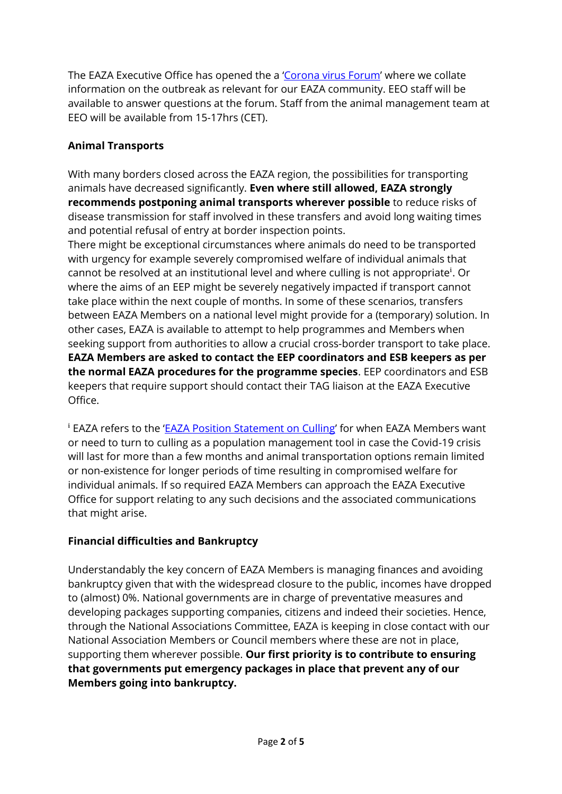The EAZA Executive Office has opened the a '[Corona virus Forum](https://eaza.sharepoint.com/sites/member/SitePages/Home.aspx)' where we collate information on the outbreak as relevant for our EAZA community. EEO staff will be available to answer questions at the forum. Staff from the animal management team at EEO will be available from 15-17hrs (CET).

# **Animal Transports**

With many borders closed across the EAZA region, the possibilities for transporting animals have decreased significantly. **Even where still allowed, EAZA strongly recommends postponing animal transports wherever possible** to reduce risks of disease transmission for staff involved in these transfers and avoid long waiting times and potential refusal of entry at border inspection points.

There might be exceptional circumstances where animals do need to be transported with urgency for example severely compromised welfare of individual animals that cannot be resolved at an institutional level and where culling is not appropriate<sup>i</sup>. Or where the aims of an EEP might be severely negatively impacted if transport cannot take place within the next couple of months. In some of these scenarios, transfers between EAZA Members on a national level might provide for a (temporary) solution. In other cases, EAZA is available to attempt to help programmes and Members when seeking support from authorities to allow a crucial cross-border transport to take place. **EAZA Members are asked to contact the EEP coordinators and ESB keepers as per the normal EAZA procedures for the programme species**. EEP coordinators and ESB keepers that require support should contact their TAG liaison at the EAZA Executive Office.

<sup>i</sup> EAZA refers to the '[EAZA Position Statement on Culling](https://www.eaza.net/assets/Uploads/Position-statements/EAZA-Culling-statement.pdf)' for when EAZA Members want or need to turn to culling as a population management tool in case the Covid-19 crisis will last for more than a few months and animal transportation options remain limited or non-existence for longer periods of time resulting in compromised welfare for individual animals. If so required EAZA Members can approach the EAZA Executive Office for support relating to any such decisions and the associated communications that might arise.

# **Financial difficulties and Bankruptcy**

Understandably the key concern of EAZA Members is managing finances and avoiding bankruptcy given that with the widespread closure to the public, incomes have dropped to (almost) 0%. National governments are in charge of preventative measures and developing packages supporting companies, citizens and indeed their societies. Hence, through the National Associations Committee, EAZA is keeping in close contact with our National Association Members or Council members where these are not in place, supporting them wherever possible. **Our first priority is to contribute to ensuring that governments put emergency packages in place that prevent any of our Members going into bankruptcy.**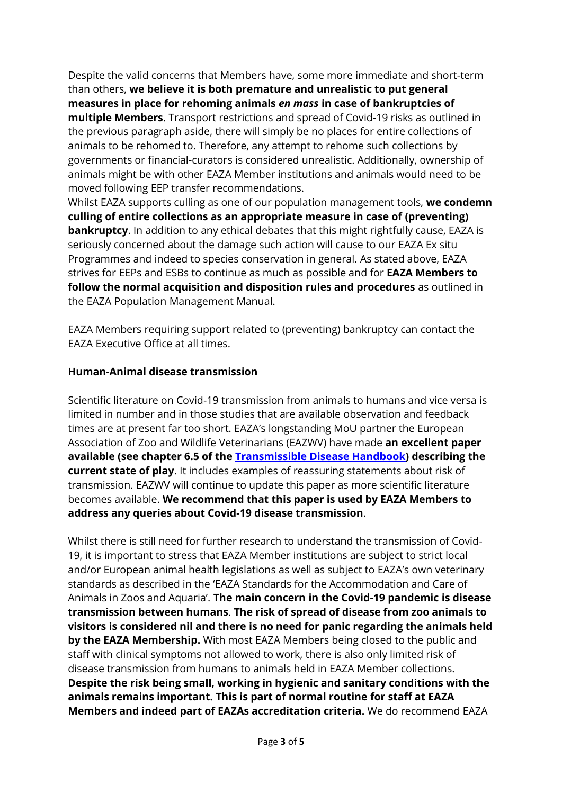Despite the valid concerns that Members have, some more immediate and short-term than others, **we believe it is both premature and unrealistic to put general measures in place for rehoming animals** *en mass* **in case of bankruptcies of multiple Members**. Transport restrictions and spread of Covid-19 risks as outlined in the previous paragraph aside, there will simply be no places for entire collections of animals to be rehomed to. Therefore, any attempt to rehome such collections by governments or financial-curators is considered unrealistic. Additionally, ownership of animals might be with other EAZA Member institutions and animals would need to be moved following EEP transfer recommendations.

Whilst EAZA supports culling as one of our population management tools, **we condemn culling of entire collections as an appropriate measure in case of (preventing) bankruptcy**. In addition to any ethical debates that this might rightfully cause, EAZA is seriously concerned about the damage such action will cause to our EAZA Ex situ Programmes and indeed to species conservation in general. As stated above, EAZA strives for EEPs and ESBs to continue as much as possible and for **EAZA Members to follow the normal acquisition and disposition rules and procedures** as outlined in the EAZA Population Management Manual.

EAZA Members requiring support related to (preventing) bankruptcy can contact the EAZA Executive Office at all times.

#### **Human-Animal disease transmission**

Scientific literature on Covid-19 transmission from animals to humans and vice versa is limited in number and in those studies that are available observation and feedback times are at present far too short. EAZA's longstanding MoU partner the European Association of Zoo and Wildlife Veterinarians (EAZWV) have made **an excellent paper available (see chapter 6.5 of the [Transmissible Disease Handbook\)](https://www.eazwv.org/general/custom.asp?page=inf_handbook) describing the current state of play**. It includes examples of reassuring statements about risk of transmission. EAZWV will continue to update this paper as more scientific literature becomes available. **We recommend that this paper is used by EAZA Members to address any queries about Covid-19 disease transmission**.

Whilst there is still need for further research to understand the transmission of Covid-19, it is important to stress that EAZA Member institutions are subject to strict local and/or European animal health legislations as well as subject to EAZA's own veterinary standards as described in the 'EAZA Standards for the Accommodation and Care of Animals in Zoos and Aquaria'. **The main concern in the Covid-19 pandemic is disease transmission between humans**. **The risk of spread of disease from zoo animals to visitors is considered nil and there is no need for panic regarding the animals held by the EAZA Membership.** With most EAZA Members being closed to the public and staff with clinical symptoms not allowed to work, there is also only limited risk of disease transmission from humans to animals held in EAZA Member collections. **Despite the risk being small, working in hygienic and sanitary conditions with the animals remains important. This is part of normal routine for staff at EAZA Members and indeed part of EAZAs accreditation criteria.** We do recommend EAZA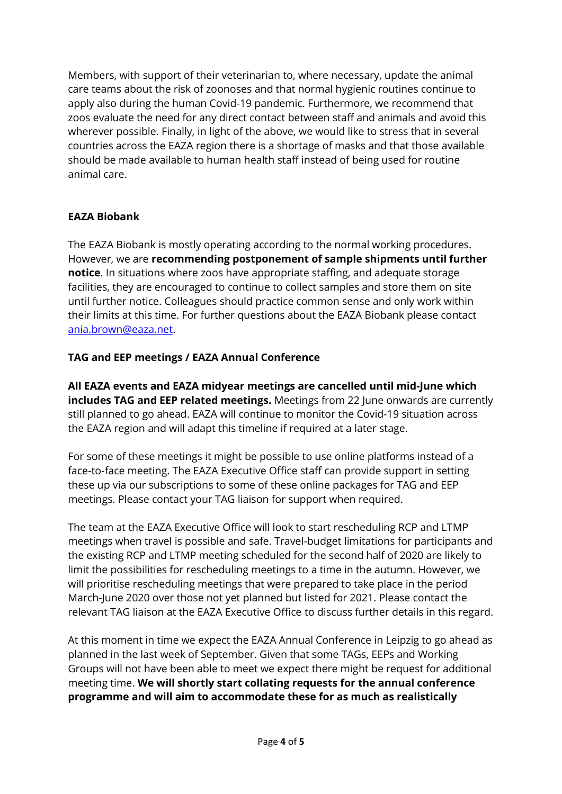Members, with support of their veterinarian to, where necessary, update the animal care teams about the risk of zoonoses and that normal hygienic routines continue to apply also during the human Covid-19 pandemic. Furthermore, we recommend that zoos evaluate the need for any direct contact between staff and animals and avoid this wherever possible. Finally, in light of the above, we would like to stress that in several countries across the EAZA region there is a shortage of masks and that those available should be made available to human health staff instead of being used for routine animal care.

## **EAZA Biobank**

The EAZA Biobank is mostly operating according to the normal working procedures. However, we are **recommending postponement of sample shipments until further notice**. In situations where zoos have appropriate staffing, and adequate storage facilities, they are encouraged to continue to collect samples and store them on site until further notice. Colleagues should practice common sense and only work within their limits at this time. For further questions about the EAZA Biobank please contact [ania.brown@eaza.net.](mailto:ania.brown@eaza.net)

## **TAG and EEP meetings / EAZA Annual Conference**

**All EAZA events and EAZA midyear meetings are cancelled until mid-June which includes TAG and EEP related meetings.** Meetings from 22 June onwards are currently still planned to go ahead. EAZA will continue to monitor the Covid-19 situation across the EAZA region and will adapt this timeline if required at a later stage.

For some of these meetings it might be possible to use online platforms instead of a face-to-face meeting. The EAZA Executive Office staff can provide support in setting these up via our subscriptions to some of these online packages for TAG and EEP meetings. Please contact your TAG liaison for support when required.

The team at the EAZA Executive Office will look to start rescheduling RCP and LTMP meetings when travel is possible and safe. Travel-budget limitations for participants and the existing RCP and LTMP meeting scheduled for the second half of 2020 are likely to limit the possibilities for rescheduling meetings to a time in the autumn. However, we will prioritise rescheduling meetings that were prepared to take place in the period March-June 2020 over those not yet planned but listed for 2021. Please contact the relevant TAG liaison at the EAZA Executive Office to discuss further details in this regard.

At this moment in time we expect the EAZA Annual Conference in Leipzig to go ahead as planned in the last week of September. Given that some TAGs, EEPs and Working Groups will not have been able to meet we expect there might be request for additional meeting time. **We will shortly start collating requests for the annual conference programme and will aim to accommodate these for as much as realistically**